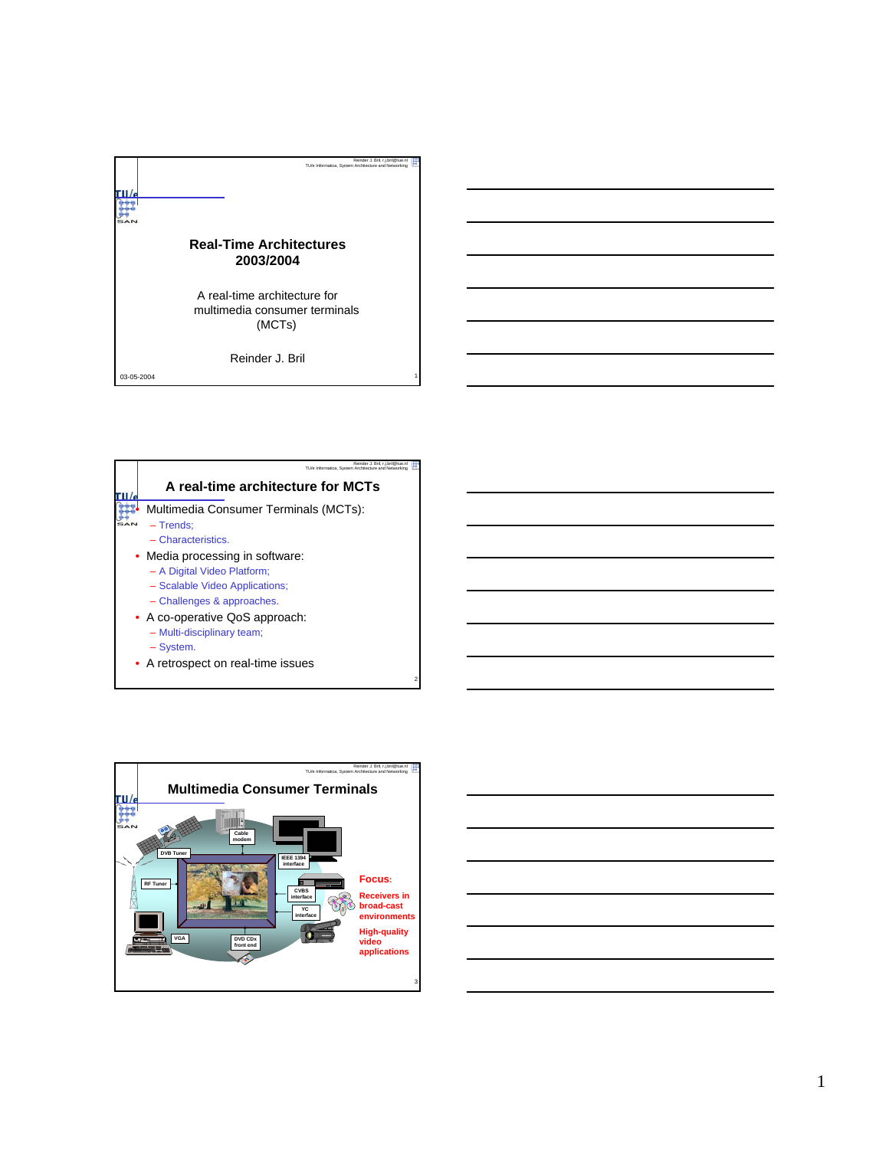





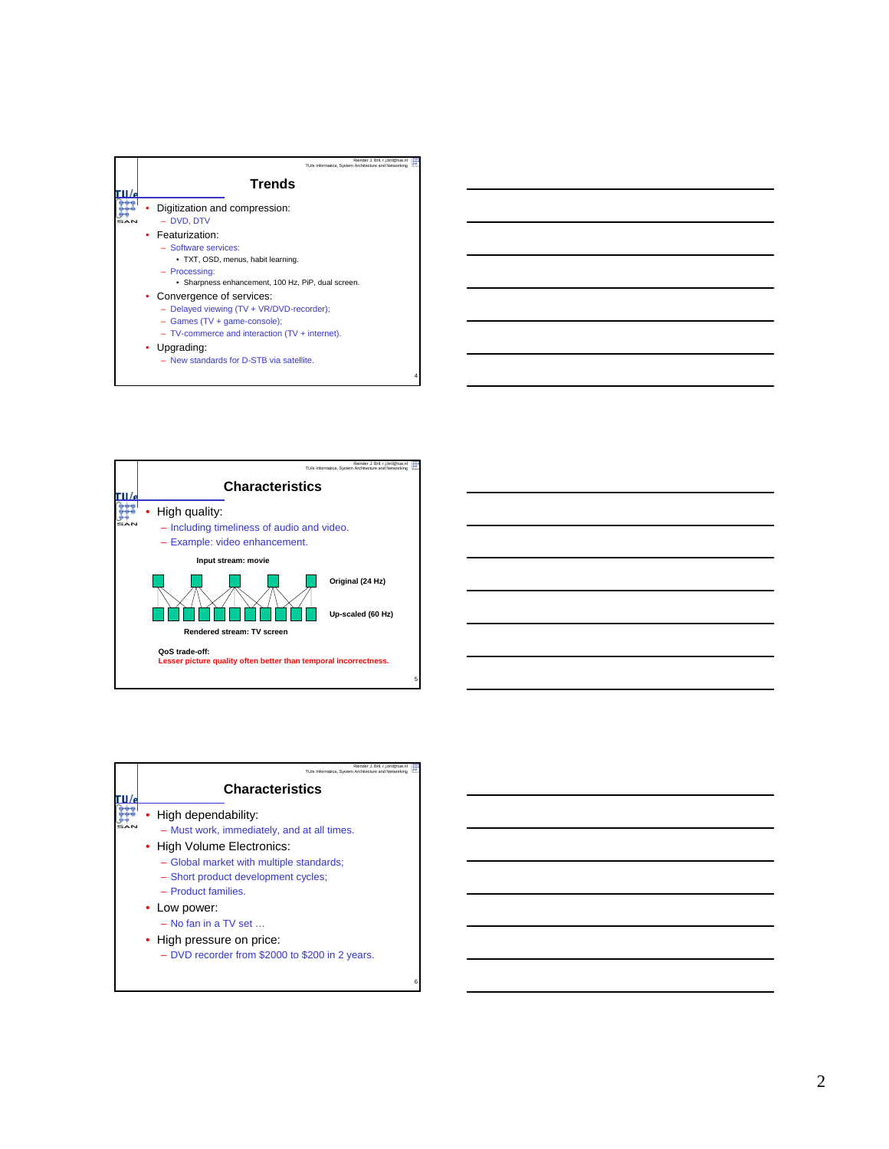



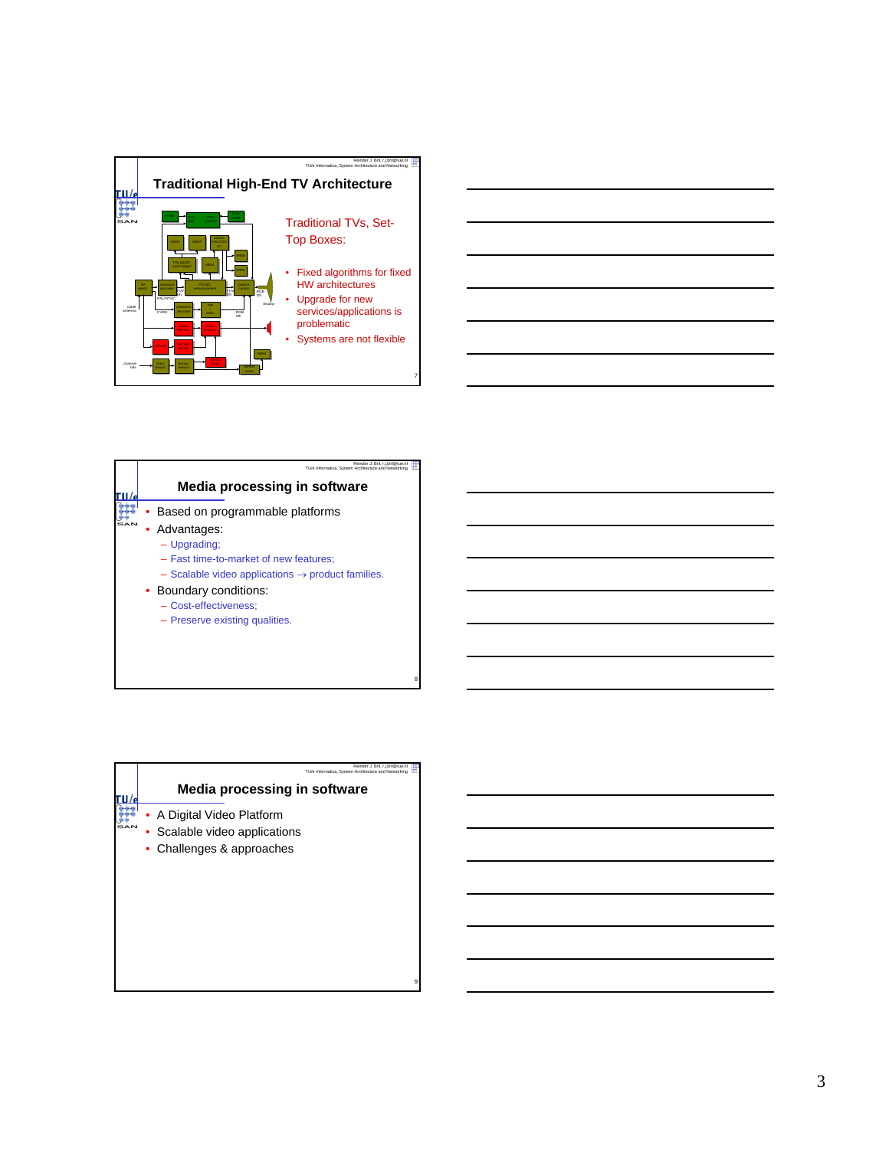



| Reinder J. Bril, r.j.bril@tue.nl<br>TU/e Informatica, System Architecture and Networking |
|------------------------------------------------------------------------------------------|
| <b>Media processing in software</b>                                                      |
| • A Digital Video Platform                                                               |
| Scalable video applications                                                              |
| Challenges & approaches                                                                  |
|                                                                                          |
|                                                                                          |
|                                                                                          |
|                                                                                          |
|                                                                                          |
|                                                                                          |
|                                                                                          |
|                                                                                          |

9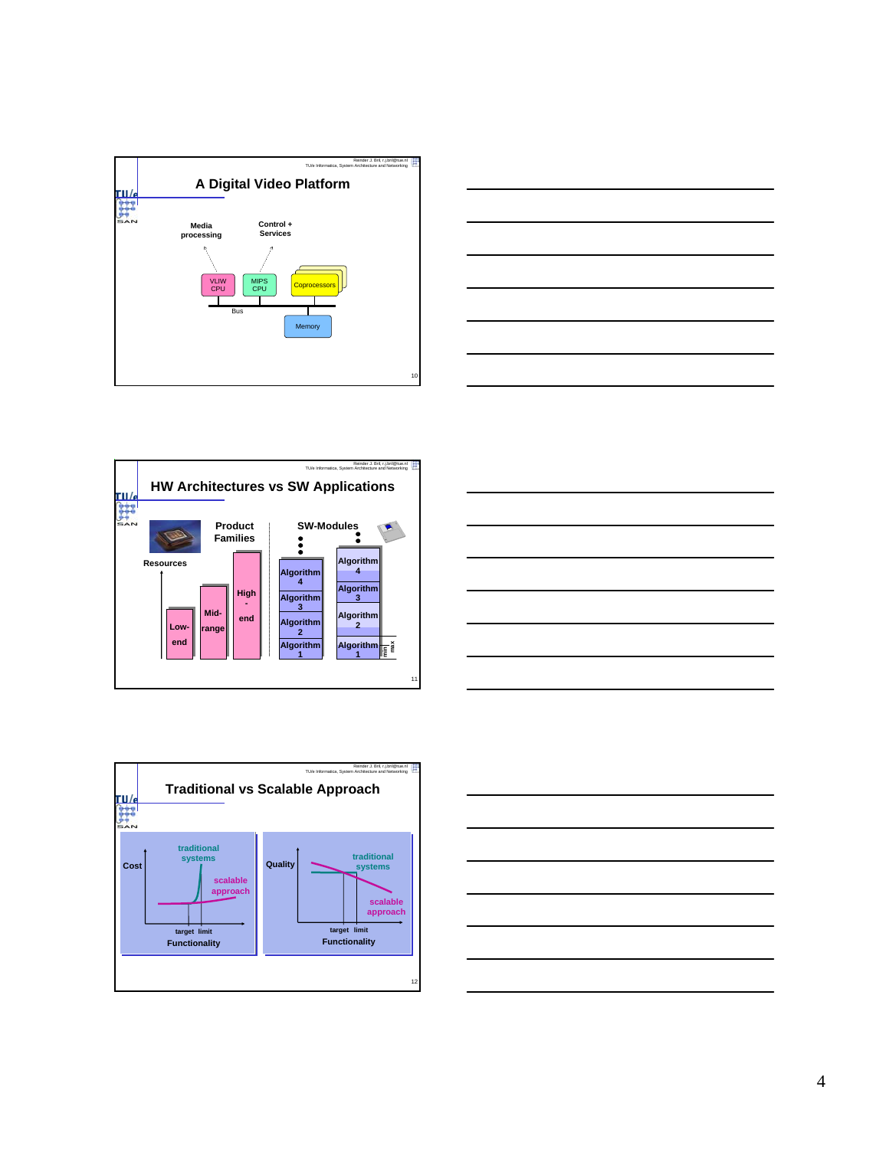









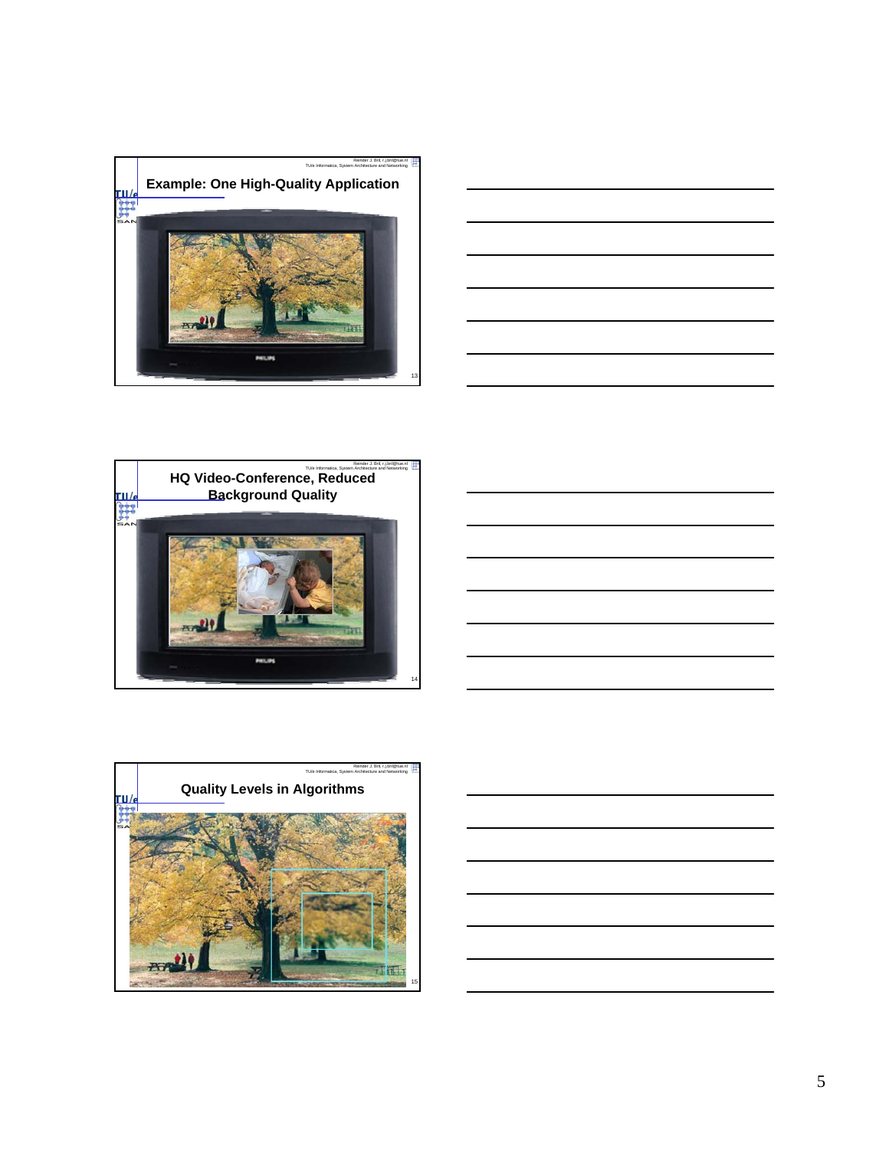









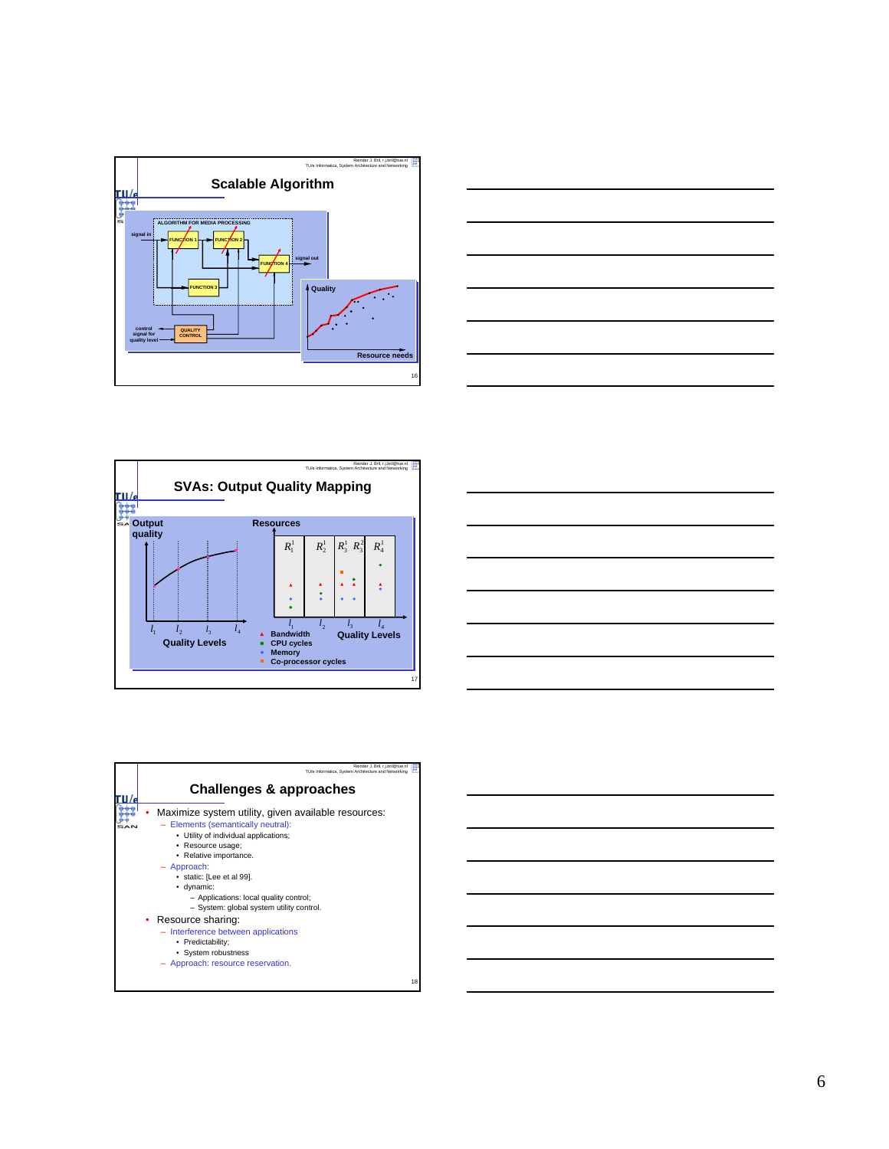







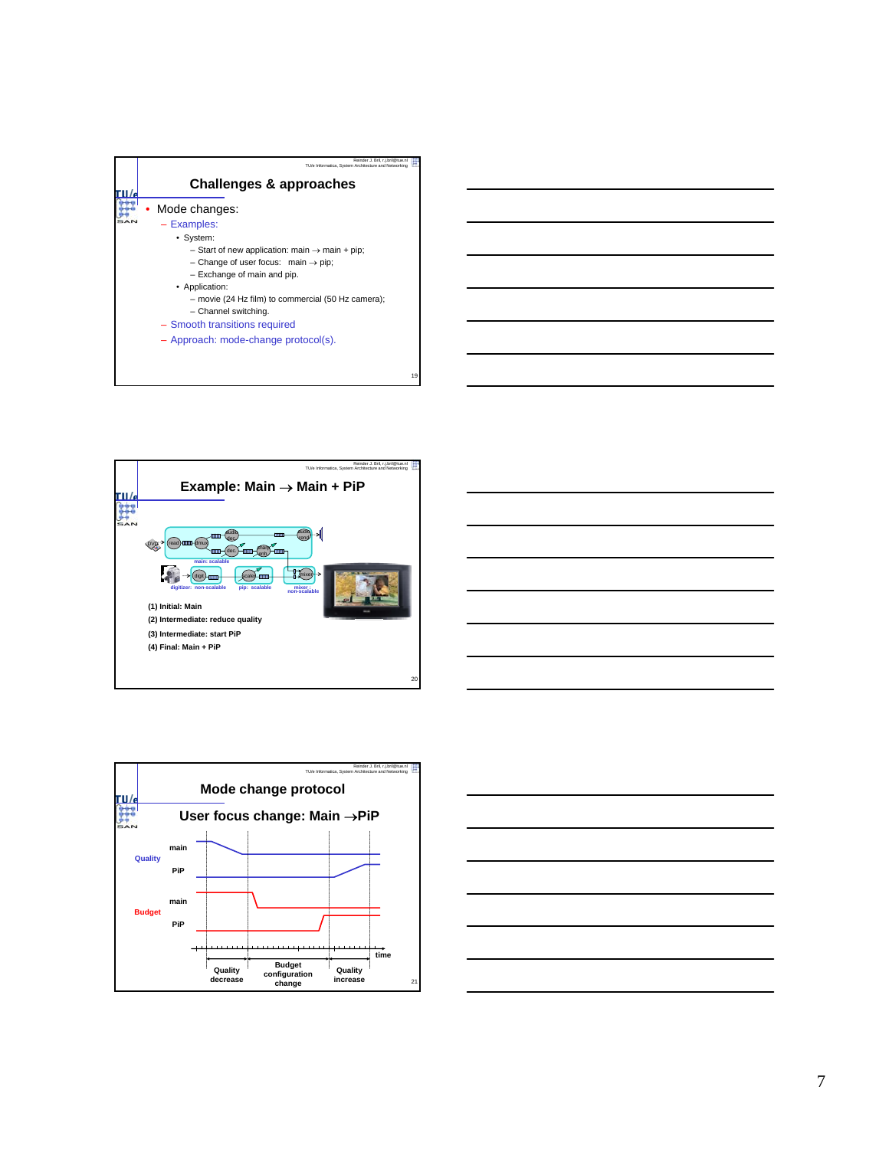







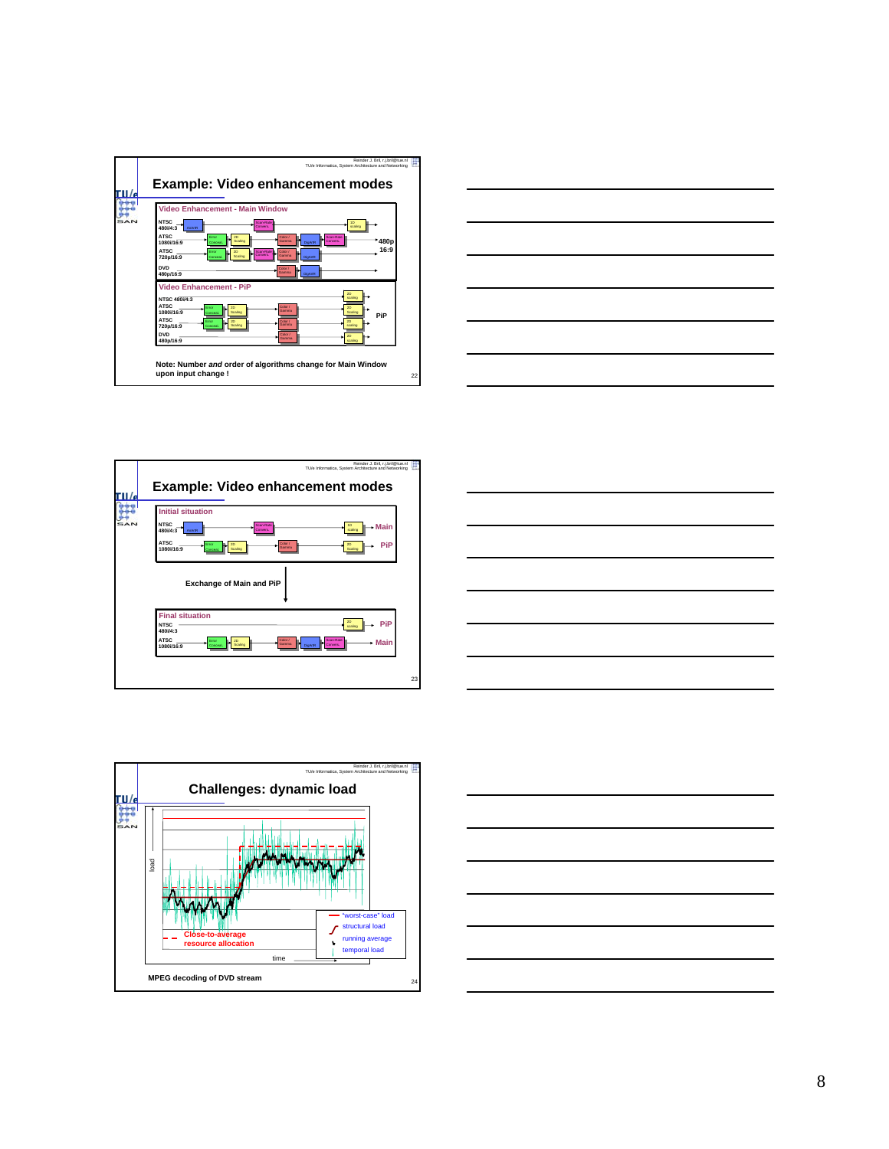









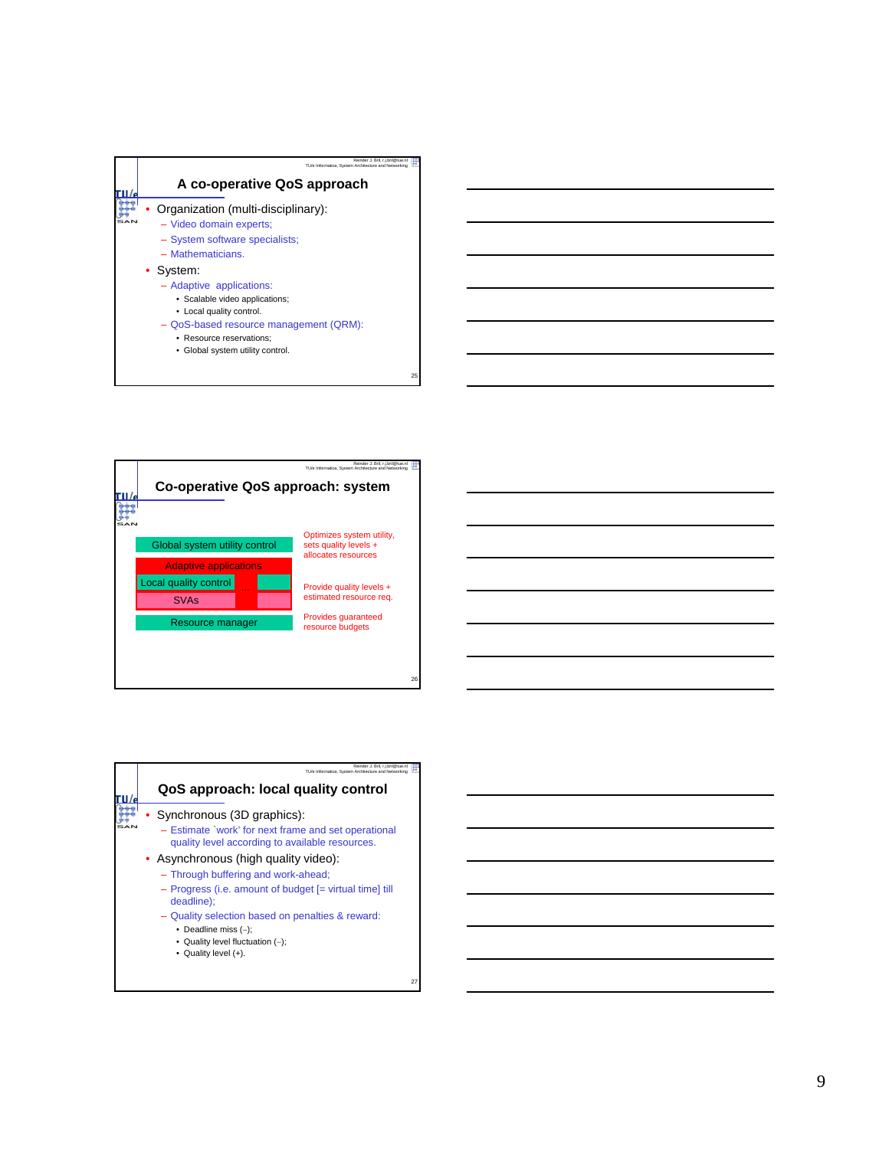





27

25